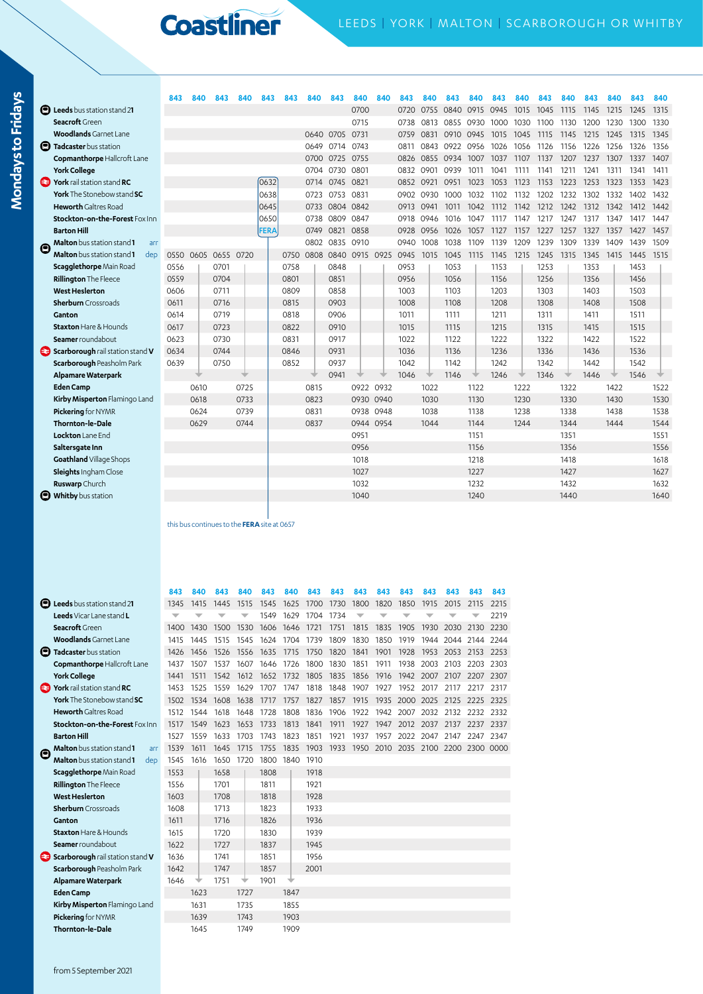**Mondays to Fridays**

Mondays to Fridays

|                  |                                                 | 843  | 840  | 843                                         | 840  | 843  | 843  | 840  | 843            | 840       | 840  | 843  | 840  | 843       | 840  | 843  | 840  | 843  | 840  |      | 840  | 843  | 840  |
|------------------|-------------------------------------------------|------|------|---------------------------------------------|------|------|------|------|----------------|-----------|------|------|------|-----------|------|------|------|------|------|------|------|------|------|
|                  | <b>E</b> Leeds bus station stand 21             |      |      |                                             |      |      |      |      |                | 0700      |      | 0720 | 0755 | 0840      | 0915 | 0945 | 1015 | 1045 | 1115 | 1145 | 1215 | 1245 | 1315 |
|                  | Seacroft Green                                  |      |      |                                             |      |      |      |      |                | 0715      |      | 0738 | 0813 | 0855      | 0930 | 1000 | 1030 | 1100 | 1130 | 1200 | 1230 | 1300 | 1330 |
|                  | <b>Woodlands</b> Garnet Lane                    |      |      |                                             |      |      |      | 0640 | 0705 0731      |           |      | 0759 | 0831 | 0910 0945 |      | 1015 | 1045 | 1115 | 1145 | 1215 | 1245 | 1315 | 1345 |
|                  | <b>D</b> Tadcaster bus station                  |      |      |                                             |      |      |      | 0649 | 0714 0743      |           |      | 0811 | 0843 | 0922      | 0956 | 1026 | 1056 | 1126 | 1156 | 1226 | 1256 | 1326 | 1356 |
|                  | Copmanthorpe Hallcroft Lane                     |      |      |                                             |      |      |      | 0700 | 0725 0755      |           |      | 0826 | 0855 | 0934      | 1007 | 1037 | 1107 | 1137 | 1207 | 1237 | 1307 | 1337 | 1407 |
|                  | <b>York College</b>                             |      |      |                                             |      |      |      | 0704 | 0730 0801      |           |      | 0832 | 0901 | 0939      | 1011 | 1041 | 1111 | 1141 | 1211 | 1241 | 1311 | 1341 | 1411 |
|                  | <b>S</b> York rail station stand RC             |      |      |                                             |      | 0632 |      | 0714 | 0745 0821      |           |      | 0852 | 0921 | 0951      | 1023 | 1053 | 1123 | 1153 | 1223 | 1253 | 1323 | 1353 | 1423 |
|                  | York The Stonebow stand SC                      |      |      |                                             |      | 0638 |      | 0723 | 0753           | 0831      |      | 0902 | 0930 | 1000      | 1032 | 1102 | 1132 | 1202 | 1232 | 1302 | 1332 | 1402 | 1432 |
|                  | <b>Heworth</b> Galtres Road                     |      |      |                                             |      | 0645 |      | 0733 | 0804 0842      |           |      | 0913 | 0941 | 1011      | 1042 | 1112 | 1142 | 1212 | 1242 | 1312 | 1342 | 1412 | 1442 |
|                  | Stockton-on-the-Forest Fox Inn                  |      |      |                                             |      | 0650 |      | 0738 | 0809 0847      |           |      | 0918 | 0946 | 1016      | 1047 | 1117 | 1147 | 1217 | 1247 | 1317 | 1347 | 1417 | 1447 |
|                  | <b>Barton Hill</b>                              |      |      |                                             |      | FERA |      | 0749 | 0821 0858      |           |      | 0928 | 0956 | 1026      | 1057 | 1127 | 1157 | 1227 | 1257 | 1327 | 1357 | 1427 | 1457 |
| $\mathbf \Theta$ | Malton bus station stand 1<br>arr               |      |      |                                             |      |      |      | 0802 | 0835 0910      |           |      | 0940 | 1008 | 1038      | 1109 | 1139 | 1209 | 1239 | 1309 | 1339 | 1409 | 1439 | 1509 |
|                  | <b>Malton</b> bus station stand <b>1</b><br>dep | 0550 |      | 0605 0655 0720                              |      |      | 0750 | 0808 | 0840 0915 0925 |           |      | 0945 | 1015 | 1045      | 1115 | 1145 | 1215 | 1245 | 1315 | 1345 | 1415 | 1445 | 1515 |
|                  | Scagglethorpe Main Road                         | 0556 |      | 0701                                        |      |      | 0758 |      | 0848           |           |      | 0953 |      | 1053      |      | 1153 |      | 1253 |      | 1353 |      | 1453 |      |
|                  | <b>Rillington The Fleece</b>                    | 0559 |      | 0704                                        |      |      | 0801 |      | 0851           |           |      | 0956 |      | 1056      |      | 1156 |      | 1256 |      | 1356 |      | 1456 |      |
|                  | <b>West Heslerton</b>                           | 0606 |      | 0711                                        |      |      | 0809 |      | 0858           |           |      | 1003 |      | 1103      |      | 1203 |      | 1303 |      | 1403 |      | 1503 |      |
|                  | <b>Sherburn</b> Crossroads                      | 0611 |      | 0716                                        |      |      | 0815 |      | 0903           |           |      | 1008 |      | 1108      |      | 1208 |      | 1308 |      | 1408 |      | 1508 |      |
|                  | Ganton                                          | 0614 |      | 0719                                        |      |      | 0818 |      | 0906           |           |      | 1011 |      | 1111      |      | 1211 |      | 1311 |      | 1411 |      | 1511 |      |
|                  | <b>Staxton</b> Hare & Hounds                    | 0617 |      | 0723                                        |      |      | 0822 |      | 0910           |           |      | 1015 |      | 1115      |      | 1215 |      | 1315 |      | 1415 |      | 1515 |      |
|                  | Seamer roundabout                               | 0623 |      | 0730                                        |      |      | 0831 |      | 0917           |           |      | 1022 |      | 1122      |      | 1222 |      | 1322 |      | 1422 |      | 1522 |      |
|                  | Scarborough rail station stand V                | 0634 |      | 0744                                        |      |      | 0846 |      | 0931           |           |      | 1036 |      | 1136      |      | 1236 |      | 1336 |      | 1436 |      | 1536 |      |
|                  | Scarborough Peasholm Park                       | 0639 |      | 0750                                        |      |      | 0852 |      | 0937           |           |      | 1042 |      | 1142      |      | 1242 |      | 1342 |      | 1442 |      | 1542 |      |
|                  | Alpamare Waterpark                              |      |      |                                             |      |      |      |      | 0941           |           |      | 1046 |      | 1146      |      | 1246 |      | 1346 |      | 1446 |      | 1546 |      |
|                  | <b>Eden Camp</b>                                |      | 0610 |                                             | 0725 |      |      | 0815 |                | 0922      | 0932 |      | 1022 |           | 1122 |      | 1222 |      | 1322 |      | 1422 |      | 1522 |
|                  | Kirby Misperton Flamingo Land                   |      | 0618 |                                             | 0733 |      |      | 0823 |                | 0930      | 0940 |      | 1030 |           | 1130 |      | 1230 |      | 1330 |      | 1430 |      | 1530 |
|                  | Pickering for NYMR                              |      | 0624 |                                             | 0739 |      |      | 0831 |                | 0938      | 0948 |      | 1038 |           | 1138 |      | 1238 |      | 1338 |      | 1438 |      | 1538 |
|                  | <b>Thornton-le-Dale</b>                         |      | 0629 |                                             | 0744 |      |      | 0837 |                | 0944 0954 |      |      | 1044 |           | 1144 |      | 1244 |      | 1344 |      | 1444 |      | 1544 |
|                  | Lockton Lane End                                |      |      |                                             |      |      |      |      |                | 0951      |      |      |      |           | 1151 |      |      |      | 1351 |      |      |      | 1551 |
|                  | Saltersgate Inn                                 |      |      |                                             |      |      |      |      |                | 0956      |      |      |      |           | 1156 |      |      |      | 1356 |      |      |      | 1556 |
|                  | Goathland Village Shops                         |      |      |                                             |      |      |      |      |                | 1018      |      |      |      |           | 1218 |      |      |      | 1418 |      |      |      | 1618 |
|                  | Sleights Ingham Close                           |      |      |                                             |      |      |      |      |                | 1027      |      |      |      |           | 1227 |      |      |      | 1427 |      |      |      | 1627 |
|                  | Ruswarp Church                                  |      |      |                                             |      |      |      |      |                | 1032      |      |      |      |           | 1232 |      |      |      | 1432 |      |      |      | 1632 |
|                  | <b>D</b> Whitby bus station                     |      |      |                                             |      |      |      |      |                | 1040      |      |      |      |           | 1240 |      |      |      | 1440 |      |      |      | 1640 |
|                  |                                                 |      |      |                                             |      |      |      |      |                |           |      |      |      |           |      |      |      |      |      |      |      |      |      |
|                  |                                                 |      |      | this bus continues to the FERA site at 0657 |      |      |      |      |                |           |      |      |      |           |      |      |      |      |      |      |      |      |      |

|                                               | 843  | 840           | 843                     | 840  | 843  | 840            | 843       | 843  | 843  | 843  | 843       | 843       | 843                                | 843  | 843  |
|-----------------------------------------------|------|---------------|-------------------------|------|------|----------------|-----------|------|------|------|-----------|-----------|------------------------------------|------|------|
| <b>E</b> Leeds bus station stand 21           | 1345 | 1415          | 1445                    | 1515 | 1545 | 1625           | 1700      | 1730 | 1800 | 1820 | 1850      | 1915      | 2015                               | 2115 | 2215 |
| Leeds Vicar Lane stand L                      | ▼    | $\overline{}$ | $\overline{\mathbf{v}}$ | ▼    | 1549 | 1629           | 1704      | 1734 | ▼    |      |           | ▼         |                                    |      | 2219 |
| Seacroft Green                                | 1400 | 1430          | 1500                    | 1530 | 1606 | 1646           | 1721      | 1751 | 1815 | 1835 | 1905      | 1930      | 2030                               | 2130 | 2230 |
| <b>Woodlands</b> Garnet Lane                  | 1415 | 1445          | 1515                    | 1545 | 1624 | 1704           | 1739      | 1809 | 1830 | 1850 | 1919      | 1944      | 2044                               | 2144 | 2244 |
| Tadcaster bus station<br>o                    | 1426 | 1456          | 1526                    | 1556 | 1635 | 1715           | 1750      | 1820 | 1841 | 1901 | 1928      | 1953      | 2053                               | 2153 | 2253 |
| <b>Copmanthorpe Hallcroft Lane</b>            | 1437 | 1507          | 1537                    | 1607 | 1646 | 1726           | 1800      | 1830 | 1851 | 1911 | 1938      | 2003      | 2103                               | 2203 | 2303 |
| <b>York College</b>                           | 1441 | 1511          | 1542                    | 1612 | 1652 | 1732           | 1805      | 1835 | 1856 | 1916 |           | 1942 2007 | 2107 2207 2307                     |      |      |
| York rail station stand RC<br>æ               | 1453 | 1525          | 1559                    | 1629 | 1707 | 1747           | 1818      | 1848 | 1907 | 1927 | 1952      | 2017      | 2117                               | 2217 | 2317 |
| <b>York</b> The Stonebow stand SC             | 1502 | 1534          | 1608                    | 1638 | 1717 | 1757           | 1827      | 1857 | 1915 | 1935 | 2000 2025 |           | 2125                               | 2225 | 2325 |
| <b>Heworth</b> Galtres Road                   | 1512 | 1544          | 1618                    | 1648 | 1728 | 1808           | 1836      | 1906 | 1922 | 1942 | 2007      | 2032      | 2132                               | 2232 | 2332 |
| Stockton-on-the-Forest Fox Inn                | 1517 | 1549          | 1623                    | 1653 | 1733 | 1813           | 1841      | 1911 | 1927 | 1947 | 2012 2037 |           | 2137                               | 2237 | 2337 |
| <b>Barton Hill</b>                            | 1527 | 1559          | 1633                    | 1703 | 1743 | 1823           | 1851      | 1921 | 1937 | 1957 |           | 2022 2047 | 2147                               | 2247 | 2347 |
| <b>Malton</b> bus station stand 1<br>arr<br>Θ | 1539 | 1611          | 1645                    | 1715 | 1755 |                | 1835 1903 | 1933 |      |      |           |           | 1950 2010 2035 2100 2200 2300 0000 |      |      |
| <b>Malton</b> bus station stand 1<br>dep      | 1545 | 1616          | 1650                    | 1720 |      | 1800 1840 1910 |           |      |      |      |           |           |                                    |      |      |
| Scagglethorpe Main Road                       | 1553 |               | 1658                    |      | 1808 |                | 1918      |      |      |      |           |           |                                    |      |      |
| <b>Rillington The Fleece</b>                  | 1556 |               | 1701                    |      | 1811 |                | 1921      |      |      |      |           |           |                                    |      |      |
| <b>West Heslerton</b>                         | 1603 |               | 1708                    |      | 1818 |                | 1928      |      |      |      |           |           |                                    |      |      |
| <b>Sherburn</b> Crossroads                    | 1608 |               | 1713                    |      | 1823 |                | 1933      |      |      |      |           |           |                                    |      |      |
| Ganton                                        | 1611 |               | 1716                    |      | 1826 |                | 1936      |      |      |      |           |           |                                    |      |      |
| <b>Staxton Hare &amp; Hounds</b>              | 1615 |               | 1720                    |      | 1830 |                | 1939      |      |      |      |           |           |                                    |      |      |
| Seamer roundabout                             | 1622 |               | 1727                    |      | 1837 |                | 1945      |      |      |      |           |           |                                    |      |      |
| Scarborough rail station stand V<br>€€        | 1636 |               | 1741                    |      | 1851 |                | 1956      |      |      |      |           |           |                                    |      |      |
| Scarborough Peasholm Park                     | 1642 |               | 1747                    |      | 1857 |                | 2001      |      |      |      |           |           |                                    |      |      |
| Alpamare Waterpark                            | 1646 |               | 1751                    |      | 1901 |                |           |      |      |      |           |           |                                    |      |      |
| <b>Eden Camp</b>                              |      | 1623          |                         | 1727 |      | 1847           |           |      |      |      |           |           |                                    |      |      |
| Kirby Misperton Flamingo Land                 |      | 1631          |                         | 1735 |      | 1855           |           |      |      |      |           |           |                                    |      |      |
| Pickering for NYMR                            |      | 1639          |                         | 1743 |      | 1903           |           |      |      |      |           |           |                                    |      |      |
| <b>Thornton-le-Dale</b>                       |      | 1645          |                         | 1749 |      | 1909           |           |      |      |      |           |           |                                    |      |      |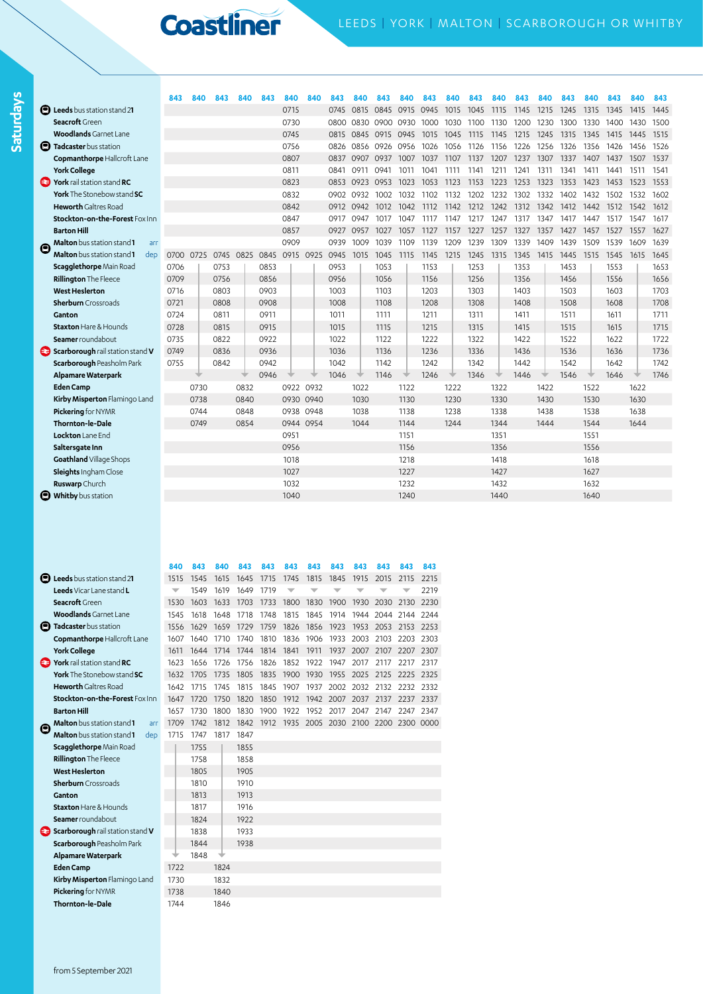**Saturdays**

|   |                                          | 843       | 840  | 843  | 840       | 843  | 840       | 840 | 843  | 840       | 843  | 840  | 843  | 840  | 843  | 840  |       | 840  | 843  | 840  | 843  | 840  | 843  |
|---|------------------------------------------|-----------|------|------|-----------|------|-----------|-----|------|-----------|------|------|------|------|------|------|-------|------|------|------|------|------|------|
|   | <b>E</b> Leeds bus station stand 21      |           |      |      |           |      | 0715      |     | 0745 | 0815      | 0845 | 0915 | 0945 | 1015 | 1045 | 1115 | -1145 | 1215 | 1245 | 1315 | 1345 | 1415 | 1445 |
|   | Seacroft Green                           |           |      |      |           |      | 0730      |     | 0800 | 0830      | 0900 | 0930 | 1000 | 1030 | 1100 | 1130 | 1200  | 1230 | 1300 | 1330 | 1400 | 1430 | 1500 |
|   | <b>Woodlands</b> Garnet Lane             |           |      |      |           |      | 0745      |     | 0815 | 0845      | 0915 | 0945 | 1015 | 1045 | 1115 | 1145 | 1215  | 1245 | 1315 | 1345 | 1415 | 1445 | 1515 |
|   | <b>D</b> Tadcaster bus station           |           |      |      |           |      | 0756      |     | 0826 | 0856      | 0926 | 0956 | 1026 | 1056 | 1126 | 1156 | 1226  | 1256 | 1326 | 1356 | 1426 | 1456 | 1526 |
|   | Copmanthorpe Hallcroft Lane              |           |      |      |           |      | 0807      |     | 0837 | 0907      | 0937 | 1007 | 1037 | 1107 | 1137 | 1207 | 1237  | 1307 | 1337 | 1407 | 1437 | 1507 | 1537 |
|   | <b>York College</b>                      |           |      |      |           |      | 0811      |     | 0841 | 0911      | 0941 | 1011 | 1041 | 1111 | 1141 | 1211 | 1241  | 1311 | 1341 | 1411 | 1441 | 1511 | 1541 |
|   | York rail station stand RC               |           |      |      |           |      | 0823      |     |      | 0853 0923 | 0953 | 1023 | 1053 | 1123 | 1153 | 1223 | 1253  | 1323 | 1353 | 1423 | 1453 | 1523 | 1553 |
|   | York The Stonebow stand SC               |           |      |      |           |      | 0832      |     | 0902 | 0932      | 1002 | 1032 | 1102 | 1132 | 1202 | 1232 | 1302  | 1332 | 1402 | 1432 | 1502 | 1532 | 1602 |
|   | <b>Heworth</b> Galtres Road              |           |      |      |           |      | 0842      |     | 0912 | 0942      | 1012 | 1042 | 1112 | 1142 | 1212 | 1242 | 1312  | 1342 | 1412 | 1442 | 1512 | 1542 | 1612 |
|   | Stockton-on-the-Forest Fox Inn           |           |      |      |           |      | 0847      |     | 0917 | 0947      | 1017 | 1047 | 1117 | 1147 | 1217 | 1247 | 1317  | 1347 | 1417 | 1447 | 1517 | 1547 | 1617 |
|   | <b>Barton Hill</b>                       |           |      |      |           |      | 0857      |     | 0927 | 0957      | 1027 | 1057 | 1127 | 1157 | 1227 | 1257 | 1327  | 1357 | 1427 | 1457 | 1527 | 1557 | 1627 |
| e | Malton bus station stand 1<br>arr        |           |      |      |           |      | 0909      |     | 0939 | 1009      | 1039 | 1109 | 1139 | 1209 | 1239 | 1309 | 1339  | 1409 | 1439 | 1509 | 1539 | 1609 | 1639 |
|   | <b>Malton</b> bus station stand 1<br>dep | 0700 0725 |      |      | 0745 0825 | 0845 | 0915 0925 |     | 0945 | 1015      | 1045 | 1115 | 1145 | 1215 | 1245 | 1315 | 1345  | 1415 | 1445 | 1515 | 1545 | 1615 | 1645 |
|   | Scagglethorpe Main Road                  | 0706      |      | 0753 |           | 0853 |           |     | 0953 |           | 1053 |      | 1153 |      | 1253 |      | 1353  |      | 1453 |      | 1553 |      | 1653 |
|   | <b>Rillington The Fleece</b>             | 0709      |      | 0756 |           | 0856 |           |     | 0956 |           | 1056 |      | 1156 |      | 1256 |      | 1356  |      | 1456 |      | 1556 |      | 1656 |
|   | <b>West Heslerton</b>                    | 0716      |      | 0803 |           | 0903 |           |     | 1003 |           | 1103 |      | 1203 |      | 1303 |      | 1403  |      | 1503 |      | 1603 |      | 1703 |
|   | <b>Sherburn</b> Crossroads               | 0721      |      | 0808 |           | 0908 |           |     | 1008 |           | 1108 |      | 1208 |      | 1308 |      | 1408  |      | 1508 |      | 1608 |      | 1708 |
|   | Ganton                                   | 0724      |      | 0811 |           | 0911 |           |     | 1011 |           | 1111 |      | 1211 |      | 1311 |      | 1411  |      | 1511 |      | 1611 |      | 1711 |
|   | <b>Staxton Hare &amp; Hounds</b>         | 0728      |      | 0815 |           | 0915 |           |     | 1015 |           | 1115 |      | 1215 |      | 1315 |      | 1415  |      | 1515 |      | 1615 |      | 1715 |
|   | Seamer roundabout                        | 0735      |      | 0822 |           | 0922 |           |     | 1022 |           | 1122 |      | 1222 |      | 1322 |      | 1422  |      | 1522 |      | 1622 |      | 1722 |
|   | Scarborough rail station stand V         | 0749      |      | 0836 |           | 0936 |           |     | 1036 |           | 1136 |      | 1236 |      | 1336 |      | 1436  |      | 1536 |      | 1636 |      | 1736 |
|   | Scarborough Peasholm Park                | 0755      |      | 0842 |           | 0942 |           |     | 1042 |           | 1142 |      | 1242 |      | 1342 |      | 1442  |      | 1542 |      | 1642 |      | 1742 |
|   | Alpamare Waterpark                       |           |      |      |           | 0946 |           |     | 1046 |           | 1146 |      | 1246 |      | 1346 |      | 1446  |      | 1546 |      | 1646 |      | 1746 |
|   | <b>Eden Camp</b>                         |           | 0730 |      | 0832      |      | 0922 0932 |     |      | 1022      |      | 1122 |      | 1222 |      | 1322 |       | 1422 |      | 1522 |      | 1622 |      |
|   | Kirby Misperton Flamingo Land            |           | 0738 |      | 0840      |      | 0930 0940 |     |      | 1030      |      | 1130 |      | 1230 |      | 1330 |       | 1430 |      | 1530 |      | 1630 |      |
|   | Pickering for NYMR                       |           | 0744 |      | 0848      |      | 0938 0948 |     |      | 1038      |      | 1138 |      | 1238 |      | 1338 |       | 1438 |      | 1538 |      | 1638 |      |
|   | Thornton-le-Dale                         |           | 0749 |      | 0854      |      | 0944 0954 |     |      | 1044      |      | 1144 |      | 1244 |      | 1344 |       | 1444 |      | 1544 |      | 1644 |      |
|   | Lockton Lane End                         |           |      |      |           |      | 0951      |     |      |           |      | 1151 |      |      |      | 1351 |       |      |      | 1551 |      |      |      |
|   | Saltersgate Inn                          |           |      |      |           |      | 0956      |     |      |           |      | 1156 |      |      |      | 1356 |       |      |      | 1556 |      |      |      |
|   | Goathland Village Shops                  |           |      |      |           |      | 1018      |     |      |           |      | 1218 |      |      |      | 1418 |       |      |      | 1618 |      |      |      |
|   | Sleights Ingham Close                    |           |      |      |           |      | 1027      |     |      |           |      | 1227 |      |      |      | 1427 |       |      |      | 1627 |      |      |      |
|   | Ruswarp Church                           |           |      |      |           |      | 1032      |     |      |           |      | 1232 |      |      |      | 1432 |       |      |      | 1632 |      |      |      |
|   | <b>D</b> Whitby bus station              |           |      |      |           |      | 1040      |     |      |           |      | 1240 |      |      |      | 1440 |       |      |      | 1640 |      |      |      |
|   |                                          |           |      |      |           |      |           |     |      |           |      |      |      |      |      |      |       |      |      |      |      |      |      |

|   |                                          | 840  | 843  | 840  | 843  | 843  | 843  | 843  | 843  | 843  | 843                                | 843       | 843  |
|---|------------------------------------------|------|------|------|------|------|------|------|------|------|------------------------------------|-----------|------|
|   | Leeds bus station stand 21               | 1515 | 1545 | 1615 | 1645 | 1715 | 1745 | 1815 | 1845 | 1915 | 2015                               | 2115      | 2215 |
|   | Leeds Vicar Lane stand L                 | ▼    | 1549 | 1619 | 1649 | 1719 | ▼    |      |      |      |                                    |           | 2219 |
|   | Seacroft Green                           | 1530 | 1603 | 1633 | 1703 | 1733 | 1800 | 1830 | 1900 | 1930 | 2030                               | 2130      | 2230 |
|   | <b>Woodlands</b> Garnet Lane             | 1545 | 1618 | 1648 | 1718 | 1748 | 1815 | 1845 | 1914 | 1944 | 2044                               | 2144 2244 |      |
| o | Tadcaster bus station                    | 1556 | 1629 | 1659 | 1729 | 1759 | 1826 | 1856 | 1923 | 1953 | 2053                               | 2153 2253 |      |
|   | <b>Copmanthorpe Hallcroft Lane</b>       | 1607 | 1640 | 1710 | 1740 | 1810 | 1836 | 1906 | 1933 | 2003 | 2103                               | 2203 2303 |      |
|   | <b>York College</b>                      | 1611 | 1644 | 1714 | 1744 | 1814 | 1841 | 1911 | 1937 | 2007 | 2107                               | 2207      | 2307 |
| æ | York rail station stand RC               | 1623 | 1656 | 1726 | 1756 | 1826 | 1852 | 1922 | 1947 | 2017 | 2117                               | 2217      | 2317 |
|   | <b>York</b> The Stonebow stand SC        | 1632 | 1705 | 1735 | 1805 | 1835 | 1900 | 1930 | 1955 | 2025 | 2125                               | 2225      | 2325 |
|   | <b>Heworth</b> Galtres Road              | 1642 | 1715 | 1745 | 1815 | 1845 | 1907 | 1937 | 2002 | 2032 | 2132                               | 2232 2332 |      |
|   | Stockton-on-the-Forest Fox Inn           | 1647 | 1720 | 1750 | 1820 | 1850 | 1912 | 1942 | 2007 | 2037 | 2137                               | 2237 2337 |      |
|   | <b>Barton Hill</b>                       | 1657 | 1730 | 1800 | 1830 | 1900 | 1922 | 1952 | 2017 | 2047 | 2147                               | 2247      | 2347 |
| Θ | <b>Malton</b> bus station stand 1<br>arr | 1709 | 1742 | 1812 | 1842 | 1912 |      |      |      |      | 1935 2005 2030 2100 2200 2300 0000 |           |      |
|   | <b>Malton</b> bus station stand 1<br>dep | 1715 | 1747 | 1817 | 1847 |      |      |      |      |      |                                    |           |      |
|   | Scagglethorpe Main Road                  |      | 1755 |      | 1855 |      |      |      |      |      |                                    |           |      |
|   | <b>Rillington</b> The Fleece             |      | 1758 |      | 1858 |      |      |      |      |      |                                    |           |      |
|   | <b>West Heslerton</b>                    |      | 1805 |      | 1905 |      |      |      |      |      |                                    |           |      |
|   | <b>Sherburn</b> Crossroads               |      | 1810 |      | 1910 |      |      |      |      |      |                                    |           |      |
|   | Ganton                                   |      | 1813 |      | 1913 |      |      |      |      |      |                                    |           |      |
|   | <b>Staxton Hare &amp; Hounds</b>         |      | 1817 |      | 1916 |      |      |      |      |      |                                    |           |      |
|   | Seamer roundabout                        |      | 1824 |      | 1922 |      |      |      |      |      |                                    |           |      |
|   | Scarborough rail station stand V         |      | 1838 |      | 1933 |      |      |      |      |      |                                    |           |      |
|   | Scarborough Peasholm Park                |      | 1844 |      | 1938 |      |      |      |      |      |                                    |           |      |
|   | Alpamare Waterpark                       |      | 1848 |      |      |      |      |      |      |      |                                    |           |      |
|   | <b>Eden Camp</b>                         | 1722 |      | 1824 |      |      |      |      |      |      |                                    |           |      |
|   | Kirby Misperton Flamingo Land            | 1730 |      | 1832 |      |      |      |      |      |      |                                    |           |      |
|   | Pickering for NYMR                       | 1738 |      | 1840 |      |      |      |      |      |      |                                    |           |      |
|   | <b>Thornton-le-Dale</b>                  | 1744 |      | 1846 |      |      |      |      |      |      |                                    |           |      |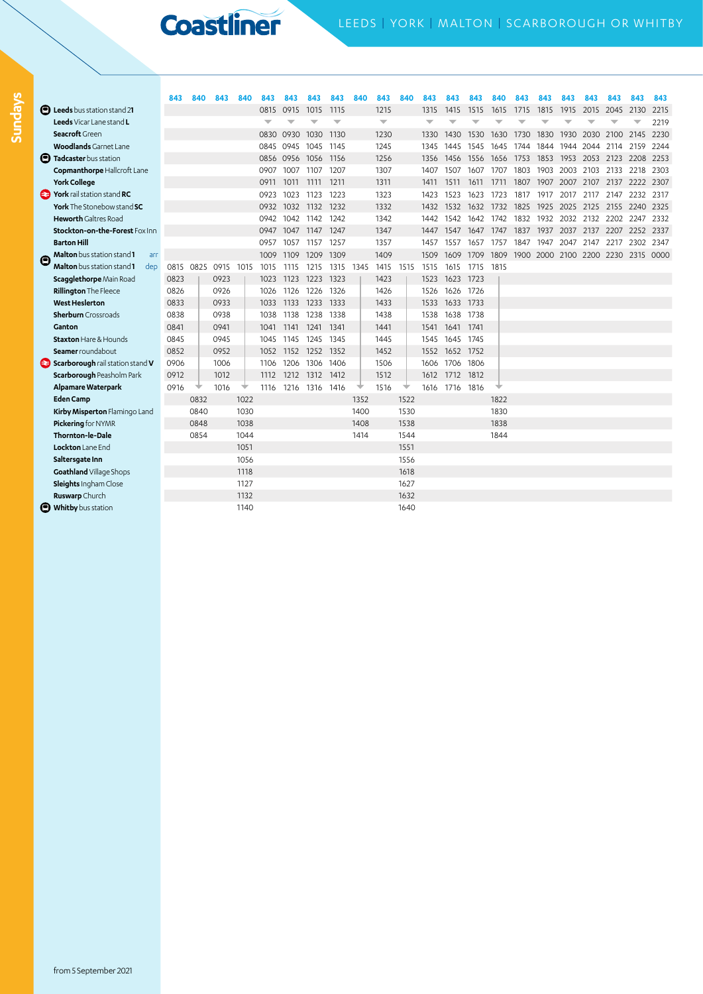**Mondays to Fridays Sundays**

**Sundays** 

|   |                                                      | 843       | 840  | 843  | 840  | 843  | 843       | 843       | 843                      | 840  | 843                      | 840  | 843  | 843       | 843  | 840  | 843  | 843  | 843                                | 843  | 843       | 843       | 843  |
|---|------------------------------------------------------|-----------|------|------|------|------|-----------|-----------|--------------------------|------|--------------------------|------|------|-----------|------|------|------|------|------------------------------------|------|-----------|-----------|------|
|   | <b>D</b> Leeds bus station stand 21                  |           |      |      |      | 0815 | 0915      | 1015      | 1115                     |      | 1215                     |      | 1315 | 1415      | 1515 | 1615 | 1715 | 1815 | 1915                               | 2015 | 2045      | 2130      | 2215 |
|   | Leeds Vicar Lane stand L                             |           |      |      |      |      |           |           | $\overline{\phantom{0}}$ |      | $\overline{\phantom{0}}$ |      | ▼    |           |      |      |      |      |                                    |      |           |           | 2219 |
|   | Seacroft Green                                       |           |      |      |      | 0830 | 0930      | 1030      | 1130                     |      | 1230                     |      | 1330 | 1430      | 1530 | 1630 | 1730 | 1830 | 1930                               | 2030 | 2100      | 2145      | 2230 |
|   | <b>Woodlands</b> Garnet Lane                         |           |      |      |      | 0845 | 0945      | 1045 1145 |                          |      | 1245                     |      | 1345 | 1445      | 1545 | 1645 | 1744 | 1844 | 1944                               | 2044 | 2114      | 2159      | 2244 |
|   | <b>D</b> Tadcaster bus station                       |           |      |      |      |      | 0856 0956 | 1056      | 1156                     |      | 1256                     |      | 1356 | 1456      | 1556 | 1656 | 1753 | 1853 | 1953                               | 2053 | 2123      | 2208      | 2253 |
|   | Copmanthorpe Hallcroft Lane                          |           |      |      |      | 0907 | 1007      | 1107      | 1207                     |      | 1307                     |      | 1407 | 1507      | 1607 | 1707 | 1803 | 1903 | 2003                               | 2103 | 2133      | 2218      | 2303 |
|   | <b>York College</b>                                  |           |      |      |      | 0911 | 1011      | 1111      | 1211                     |      | 1311                     |      | 1411 | 1511      | 1611 | 1711 | 1807 | 1907 | 2007                               | 2107 | 2137      | 2222      | 2307 |
|   | <b>Part York</b> rail station stand RC               |           |      |      |      | 0923 | 1023      | 1123      | 1223                     |      | 1323                     |      | 1423 | 1523      | 1623 | 1723 | 1817 | 1917 | 2017                               | 2117 | 2147      | 2232      | 2317 |
|   | York The Stonebow stand SC                           |           |      |      |      | 0932 | 1032      | 1132      | 1232                     |      | 1332                     |      | 1432 | 1532      | 1632 | 1732 | 1825 | 1925 | 2025                               | 2125 | 2155      | 2240 2325 |      |
|   | <b>Heworth</b> Galtres Road                          |           |      |      |      | 0942 | 1042      | 1142      | 1242                     |      | 1342                     |      | 1442 | 1542      | 1642 | 1742 | 1832 | 1932 | 2032                               | 2132 | 2202 2247 |           | 2332 |
|   | Stockton-on-the-Forest Fox Inn                       |           |      |      |      | 0947 | 1047      | 1147 1247 |                          |      | 1347                     |      | 1447 | 1547      | 1647 | 1747 | 1837 | 1937 | 2037                               | 2137 | 2207      | 2252 2337 |      |
|   | <b>Barton Hill</b>                                   |           |      |      |      | 0957 | 1057      | 1157      | 1257                     |      | 1357                     |      | 1457 | 1557      | 1657 | 1757 | 1847 | 1947 | 2047                               | 2147 | 2217      | 2302 2347 |      |
| Θ | Malton bus station stand 1<br>arr                    |           |      |      |      | 1009 | 1109      | 1209      | 1309                     |      | 1409                     |      | 1509 | 1609      | 1709 | 1809 |      |      | 1900 2000 2100 2200 2230 2315 0000 |      |           |           |      |
|   | <b>Malton</b> bus station stand 1<br>de <sub>D</sub> | 0815 0825 |      | 0915 | 1015 | 1015 | 1115      | 1215      | 1315                     | 1345 | 1415                     | 1515 | 1515 | 1615      | 1715 | 1815 |      |      |                                    |      |           |           |      |
|   | Scagglethorpe Main Road                              | 0823      |      | 0923 |      | 1023 | 1123      | 1223      | 1323                     |      | 1423                     |      | 1523 | 1623      | 1723 |      |      |      |                                    |      |           |           |      |
|   | <b>Rillington The Fleece</b>                         | 0826      |      | 0926 |      | 1026 | 1126      | 1226      | 1326                     |      | 1426                     |      | 1526 | 1626      | 1726 |      |      |      |                                    |      |           |           |      |
|   | <b>West Heslerton</b>                                | 0833      |      | 0933 |      | 1033 | 1133      | 1233      | 1333                     |      | 1433                     |      | 1533 | 1633      | 1733 |      |      |      |                                    |      |           |           |      |
|   | <b>Sherburn</b> Crossroads                           | 0838      |      | 0938 |      | 1038 | 1138      | 1238      | 1338                     |      | 1438                     |      | 1538 | 1638 1738 |      |      |      |      |                                    |      |           |           |      |
|   | Ganton                                               | 0841      |      | 0941 |      | 1041 | 1141      | 1241      | 1341                     |      | 1441                     |      | 1541 | 1641 1741 |      |      |      |      |                                    |      |           |           |      |
|   | <b>Staxton</b> Hare & Hounds                         | 0845      |      | 0945 |      | 1045 | 1145      | 1245      | 1345                     |      | 1445                     |      | 1545 | 1645      | 1745 |      |      |      |                                    |      |           |           |      |
|   | Seamer roundabout                                    | 0852      |      | 0952 |      | 1052 | 1152      | 1252      | 1352                     |      | 1452                     |      | 1552 | 1652 1752 |      |      |      |      |                                    |      |           |           |      |
|   | Scarborough rail station stand V                     | 0906      |      | 1006 |      | 1106 | 1206      | 1306      | 1406                     |      | 1506                     |      | 1606 | 1706      | 1806 |      |      |      |                                    |      |           |           |      |
|   | Scarborough Peasholm Park                            | 0912      |      | 1012 |      | 1112 | 1212      | 1312      | 1412                     |      | 1512                     |      | 1612 | 1712      | 1812 |      |      |      |                                    |      |           |           |      |
|   | Alpamare Waterpark                                   | 0916      |      | 1016 |      | 1116 | 1216      | 1316      | 1416                     |      | 1516                     |      | 1616 | 1716      | 1816 |      |      |      |                                    |      |           |           |      |
|   | <b>Eden Camp</b>                                     |           | 0832 |      | 1022 |      |           |           |                          | 1352 |                          | 1522 |      |           |      | 1822 |      |      |                                    |      |           |           |      |
|   | Kirby Misperton Flamingo Land                        |           | 0840 |      | 1030 |      |           |           |                          | 1400 |                          | 1530 |      |           |      | 1830 |      |      |                                    |      |           |           |      |
|   | Pickering for NYMR                                   |           | 0848 |      | 1038 |      |           |           |                          | 1408 |                          | 1538 |      |           |      | 1838 |      |      |                                    |      |           |           |      |
|   | Thornton-le-Dale                                     |           | 0854 |      | 1044 |      |           |           |                          | 1414 |                          | 1544 |      |           |      | 1844 |      |      |                                    |      |           |           |      |
|   | Lockton Lane End                                     |           |      |      | 1051 |      |           |           |                          |      |                          | 1551 |      |           |      |      |      |      |                                    |      |           |           |      |
|   | Saltersgate Inn                                      |           |      |      | 1056 |      |           |           |                          |      |                          | 1556 |      |           |      |      |      |      |                                    |      |           |           |      |
|   | Goathland Village Shops                              |           |      |      | 1118 |      |           |           |                          |      |                          | 1618 |      |           |      |      |      |      |                                    |      |           |           |      |
|   | Sleights Ingham Close                                |           |      |      | 1127 |      |           |           |                          |      |                          | 1627 |      |           |      |      |      |      |                                    |      |           |           |      |
|   | Ruswarp Church                                       |           |      |      | 1132 |      |           |           |                          |      |                          | 1632 |      |           |      |      |      |      |                                    |      |           |           |      |
|   | <b>D</b> Whitby bus station                          |           |      |      | 1140 |      |           |           |                          |      |                          | 1640 |      |           |      |      |      |      |                                    |      |           |           |      |
|   |                                                      |           |      |      |      |      |           |           |                          |      |                          |      |      |           |      |      |      |      |                                    |      |           |           |      |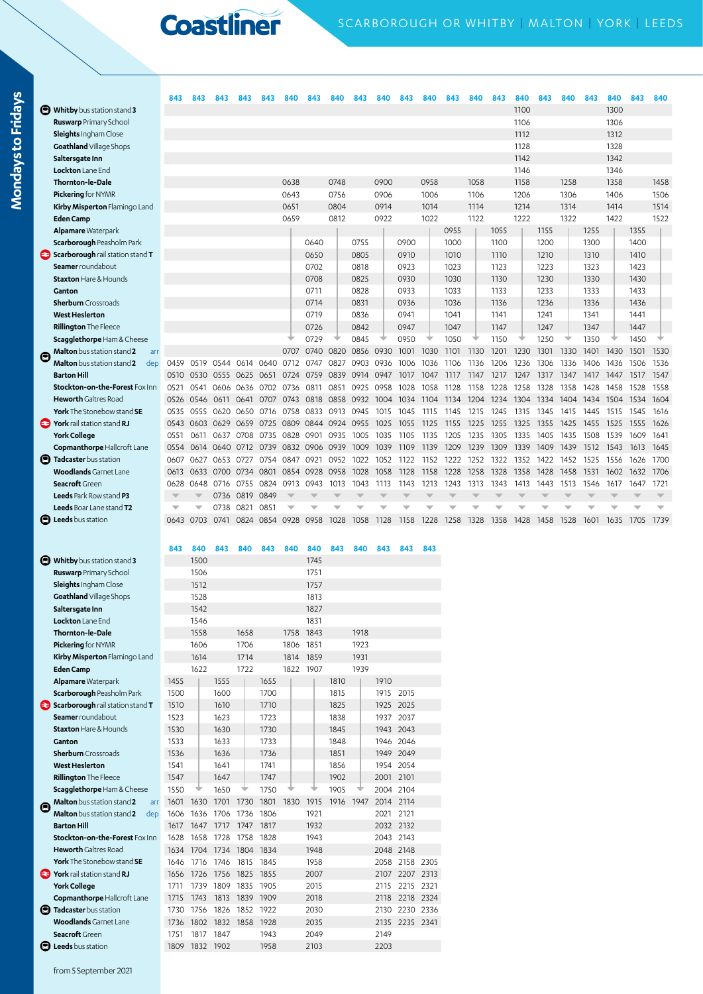|                                          | 843                      | 843  | 843  | 843  |                | 840  |      |      |           | 840  | 843  |      |      | 840  | 843  | 840  | 843  | 840  | 843  | 840  | 843       | 840  |
|------------------------------------------|--------------------------|------|------|------|----------------|------|------|------|-----------|------|------|------|------|------|------|------|------|------|------|------|-----------|------|
| Whitby bus station stand 3               |                          |      |      |      |                |      |      |      |           |      |      |      |      |      |      | 1100 |      |      |      | 1300 |           |      |
| Ruswarp Primary School                   |                          |      |      |      |                |      |      |      |           |      |      |      |      |      |      | 1106 |      |      |      | 1306 |           |      |
| Sleights Ingham Close                    |                          |      |      |      |                |      |      |      |           |      |      |      |      |      |      | 1112 |      |      |      | 1312 |           |      |
| Goathland Village Shops                  |                          |      |      |      |                |      |      |      |           |      |      |      |      |      |      | 1128 |      |      |      | 1328 |           |      |
| Saltersgate Inn                          |                          |      |      |      |                |      |      |      |           |      |      |      |      |      |      | 1142 |      |      |      | 1342 |           |      |
| Lockton Lane End                         |                          |      |      |      |                |      |      |      |           |      |      |      |      |      |      | 1146 |      |      |      | 1346 |           |      |
| Thornton-le-Dale                         |                          |      |      |      |                | 0638 |      | 0748 |           | 0900 |      | 0958 |      | 1058 |      | 1158 |      | 1258 |      | 1358 |           | 1458 |
| Pickering for NYMR                       |                          |      |      |      |                | 0643 |      | 0756 |           | 0906 |      | 1006 |      | 1106 |      | 1206 |      | 1306 |      | 1406 |           | 1506 |
| Kirby Misperton Flamingo Land            |                          |      |      |      |                | 0651 |      | 0804 |           | 0914 |      | 1014 |      | 1114 |      | 1214 |      | 1314 |      | 1414 |           | 1514 |
| <b>Eden Camp</b>                         |                          |      |      |      |                | 0659 |      | 0812 |           | 0922 |      | 1022 |      | 1122 |      | 1222 |      | 1322 |      | 1422 |           | 1522 |
| <b>Alpamare Waterpark</b>                |                          |      |      |      |                |      |      |      |           |      |      |      | 0955 |      | 1055 |      | 1155 |      | 1255 |      | 1355      |      |
| Scarborough Peasholm Park                |                          |      |      |      |                |      | 0640 |      | 0755      |      | 0900 |      | 1000 |      | 1100 |      | 1200 |      | 1300 |      | 1400      |      |
| Scarborough rail station stand T         |                          |      |      |      |                |      | 0650 |      | 0805      |      | 0910 |      | 1010 |      | 1110 |      | 1210 |      | 1310 |      | 1410      |      |
| Seamer roundabout                        |                          |      |      |      |                |      | 0702 |      | 0818      |      | 0923 |      | 1023 |      | 1123 |      | 1223 |      | 1323 |      | 1423      |      |
| <b>Staxton Hare &amp; Hounds</b>         |                          |      |      |      |                |      | 0708 |      | 0825      |      | 0930 |      | 1030 |      | 1130 |      | 1230 |      | 1330 |      | 1430      |      |
| Ganton                                   |                          |      |      |      |                |      | 0711 |      | 0828      |      | 0933 |      | 1033 |      | 1133 |      | 1233 |      | 1333 |      | 1433      |      |
| <b>Sherburn</b> Crossroads               |                          |      |      |      |                |      | 0714 |      | 0831      |      | 0936 |      | 1036 |      | 1136 |      | 1236 |      | 1336 |      | 1436      |      |
| <b>West Heslerton</b>                    |                          |      |      |      |                |      | 0719 |      | 0836      |      | 0941 |      | 1041 |      | 1141 |      | 1241 |      | 1341 |      | 1441      |      |
| <b>Rillington The Fleece</b>             |                          |      |      |      |                |      | 0726 |      | 0842      |      | 0947 |      | 1047 |      | 1147 |      | 1247 |      | 1347 |      | 1447      |      |
| <b>Scagglethorpe</b> Ham & Cheese        |                          |      |      |      |                |      | 0729 |      | 0845      |      | 0950 |      | 1050 |      | 1150 |      | 1250 |      | 1350 |      | 1450      |      |
| Malton bus station stand 2<br>arr        |                          |      |      |      |                | 0707 | 0740 | 0820 | 0856 0930 |      | 1001 | 1030 | 1101 | 1130 | 1201 | 1230 | 1301 | 1330 | 1401 |      | 1430 1501 | 1530 |
| <b>Malton</b> bus station stand 2<br>dep | 0459                     | 0519 | 0544 | 0614 | 0640           | 0712 | 0747 | 0827 | 0903      | 0936 | 1006 | 1036 | 1106 | 1136 | 1206 | 1236 | 1306 | 1336 | 1406 | 1436 | 1506      | 1536 |
| <b>Barton Hill</b>                       | 0510                     | 0530 | 0555 | 0625 | 0651           | 0724 | 0759 | 0839 | 0914      | 0947 | 1017 | 1047 | 1117 | 1147 | 1217 | 1247 | 1317 | 1347 | 1417 | 1447 | 1517      | 1547 |
| Stockton-on-the-Forest Fox Inn           | 0521                     | 0541 | 0606 | 0636 | 0702           | 0736 | 0811 | 0851 | 0925      | 0958 | 1028 | 1058 | 1128 | 1158 | 1228 | 1258 | 1328 | 1358 | 1428 | 1458 | 1528      | 1558 |
| <b>Heworth</b> Galtres Road              | 0526                     | 0546 | 0611 | 0641 | 0707           | 0743 | 0818 | 0858 | 0932      | 1004 | 1034 | 1104 | 1134 | 1204 | 1234 | 1304 | 1334 | 1404 | 1434 | 1504 | 1534      | 1604 |
| <b>York</b> The Stonebow stand <b>SE</b> | 0535                     | 0555 | 0620 | 0650 | 0716           | 0758 | 0833 | 0913 | 0945      | 1015 | 1045 | 1115 | 1145 | 1215 | 1245 | 1315 | 1345 | 1415 | 1445 | 1515 | 1545      | 1616 |
| York rail station stand RJ               | 0543                     | 0603 | 0629 | 0659 | 0725           | 0809 | 0844 | 0924 | 0955      | 1025 | 1055 | 1125 | 1155 | 1225 | 1255 | 1325 | 1355 | 1425 | 1455 | 1525 | 1555      | 1626 |
| <b>York College</b>                      | 0551                     | 0611 | 0637 | 0708 | 0735           | 0828 | 0901 | 0935 | 1005      | 1035 | 1105 | 1135 | 1205 | 1235 | 1305 | 1335 | 1405 | 1435 | 1508 | 1539 | 1609      | 1641 |
| Copmanthorpe Hallcroft Lane              | 0554                     | 0614 | 0640 | 0712 | 0739           | 0832 | 0906 | 0939 | 1009      | 1039 | 1109 | 1139 | 1209 | 1239 | 1309 | 1339 | 1409 | 1439 | 1512 | 1543 | 1613      | 1645 |
| <b>B</b> Tadcaster bus station           | 0607                     | 0627 | 0653 | 0727 | 0754           | 0847 | 0921 | 0952 | 1022      | 1052 | 1122 | 1152 | 1222 | 1252 | 1322 | 1352 | 1422 | 1452 | 1525 | 1556 | 1626      | 1700 |
| <b>Woodlands</b> Garnet Lane             | 0613                     | 0633 | 0700 | 0734 | 0801           | 0854 | 0928 | 0958 | 1028      | 1058 | 1128 | 1158 | 1228 | 1258 | 1328 | 1358 | 1428 | 1458 | 1531 | 1602 | 1632      | 1706 |
| Seacroft Green                           | 0628                     | 0648 | 0716 | 0755 | 0824           | 0913 | 0943 | 1013 | 1043      | 1113 | 1143 | 1213 | 1243 | 1313 | 1343 | 1413 | 1443 | 1513 | 1546 | 1617 | 1647      | 1721 |
| Leeds Park Row stand P3                  | $\overline{\phantom{a}}$ |      | 0736 | 0819 | 0849           |      |      |      |           |      |      |      |      |      |      |      |      |      |      |      |           |      |
| Leeds Boar Lane stand T2                 | w                        |      | 0738 | 0821 | 0851           |      |      |      |           |      |      |      |      |      |      |      |      |      |      |      |           |      |
| <b>D</b> Leeds bus station               | 0643                     | 0703 | 0741 |      | 0824 0854 0928 |      | 0958 | 1028 | 1058      | 1128 | 1158 | 1228 | 1258 | 1328 | 1358 | 1428 | 1458 | 1528 | 1601 | 1635 | 1705      | 1739 |
|                                          |                          |      |      |      |                |      |      |      |           |      |      |      |      |      |      |      |      |      |      |      |           |      |
|                                          | 843                      | 840  | 843  | 840  | 843            | 840  | 840  | 843  | 840       | 843  | 843  | 843  |      |      |      |      |      |      |      |      |           |      |
| Whitby bus station stand 3               |                          | 1500 |      |      |                |      | 1745 |      |           |      |      |      |      |      |      |      |      |      |      |      |           |      |
| Ruswarp Primary School                   |                          | 1506 |      |      |                |      | 1751 |      |           |      |      |      |      |      |      |      |      |      |      |      |           |      |
| Sleights Ingham Close                    |                          | 1512 |      |      |                |      | 1757 |      |           |      |      |      |      |      |      |      |      |      |      |      |           |      |
| Goathland Village Shops                  |                          | 1528 |      |      |                |      | 1813 |      |           |      |      |      |      |      |      |      |      |      |      |      |           |      |
| Saltersgate Inn                          |                          | 1542 |      |      |                |      | 1827 |      |           |      |      |      |      |      |      |      |      |      |      |      |           |      |
| Lockton Lane End                         |                          | 1546 |      |      |                |      | 1831 |      |           |      |      |      |      |      |      |      |      |      |      |      |           |      |
| <b>Thornton-le-Dale</b>                  |                          | 1558 |      | 1658 |                | 1758 | 1843 |      | 1918      |      |      |      |      |      |      |      |      |      |      |      |           |      |

|   | əancı syate ının                         |      | 134Z |      |      |      |      | 102/ |      |      |      |                |      |
|---|------------------------------------------|------|------|------|------|------|------|------|------|------|------|----------------|------|
|   | Lockton Lane End                         |      | 1546 |      |      |      |      | 1831 |      |      |      |                |      |
|   | <b>Thornton-le-Dale</b>                  |      | 1558 |      | 1658 |      | 1758 | 1843 |      | 1918 |      |                |      |
|   | Pickering for NYMR                       |      | 1606 |      | 1706 |      | 1806 | 1851 |      | 1923 |      |                |      |
|   | Kirby Misperton Flamingo Land            |      | 1614 |      | 1714 |      | 1814 | 1859 |      | 1931 |      |                |      |
|   | <b>Eden Camp</b>                         |      | 1622 |      | 1722 |      | 1822 | 1907 |      | 1939 |      |                |      |
|   | <b>Alpamare Waterpark</b>                | 1455 |      | 1555 |      | 1655 |      |      | 1810 |      | 1910 |                |      |
|   | <b>Scarborough Peasholm Park</b>         | 1500 |      | 1600 |      | 1700 |      |      | 1815 |      | 1915 | 2015           |      |
|   | Scarborough rail station stand T         | 1510 |      | 1610 |      | 1710 |      |      | 1825 |      | 1925 | 2025           |      |
|   | Seamer roundabout                        | 1523 |      | 1623 |      | 1723 |      |      | 1838 |      | 1937 | 2037           |      |
|   | <b>Staxton Hare &amp; Hounds</b>         | 1530 |      | 1630 |      | 1730 |      |      | 1845 |      |      | 1943 2043      |      |
|   | Ganton                                   | 1533 |      | 1633 |      | 1733 |      |      | 1848 |      |      | 1946 2046      |      |
|   | <b>Sherburn</b> Crossroads               | 1536 |      | 1636 |      | 1736 |      |      | 1851 |      |      | 1949 2049      |      |
|   | <b>West Heslerton</b>                    | 1541 |      | 1641 |      | 1741 |      |      | 1856 |      |      | 1954 2054      |      |
|   | <b>Rillington The Fleece</b>             | 1547 |      | 1647 |      | 1747 |      |      | 1902 |      | 2001 | 2101           |      |
|   | Scagglethorpe Ham & Cheese               | 1550 | ◆    | 1650 | ▼    | 1750 |      |      | 1905 | ◆    |      | 2004 2104      |      |
| Θ | <b>Malton</b> bus station stand 2<br>arr | 1601 | 1630 | 1701 | 1730 | 1801 | 1830 | 1915 | 1916 | 1947 |      | 2014 2114      |      |
|   | Malton bus station stand 2<br>dep        | 1606 | 1636 | 1706 | 1736 | 1806 |      | 1921 |      |      | 2021 | 2121           |      |
|   | <b>Barton Hill</b>                       | 1617 | 1647 | 1717 | 1747 | 1817 |      | 1932 |      |      |      | 2032 2132      |      |
|   | Stockton-on-the-Forest Fox Inn           | 1628 | 1658 | 1728 | 1758 | 1828 |      | 1943 |      |      |      | 2043 2143      |      |
|   | <b>Heworth</b> Galtres Road              | 1634 | 1704 | 1734 | 1804 | 1834 |      | 1948 |      |      |      | 2048 2148      |      |
|   | York The Stonebow stand SE               | 1646 | 1716 | 1746 | 1815 | 1845 |      | 1958 |      |      |      | 2058 2158 2305 |      |
|   | <b>P</b> York rail station stand RJ      | 1656 | 1726 | 1756 | 1825 | 1855 |      | 2007 |      |      | 2107 | 2207           | 2313 |
|   | <b>York College</b>                      | 1711 | 1739 | 1809 | 1835 | 1905 |      | 2015 |      |      | 2115 | 2215           | 2321 |
|   | <b>Copmanthorpe Hallcroft Lane</b>       | 1715 | 1743 | 1813 | 1839 | 1909 |      | 2018 |      |      | 2118 | 2218 2324      |      |
| o | Tadcaster bus station                    | 1730 | 1756 | 1826 | 1852 | 1922 |      | 2030 |      |      | 2130 | 2230           | 2336 |
|   | <b>Woodlands</b> Garnet Lane             | 1736 | 1802 | 1832 | 1858 | 1928 |      | 2035 |      |      | 2135 | 2235 2341      |      |
|   | Seacroft Green                           | 1751 | 1817 | 1847 |      | 1943 |      | 2049 |      |      | 2149 |                |      |
|   | <b>B</b> Leeds bus station               | 1809 | 1832 | 1902 |      | 1958 |      | 2103 |      |      | 2203 |                |      |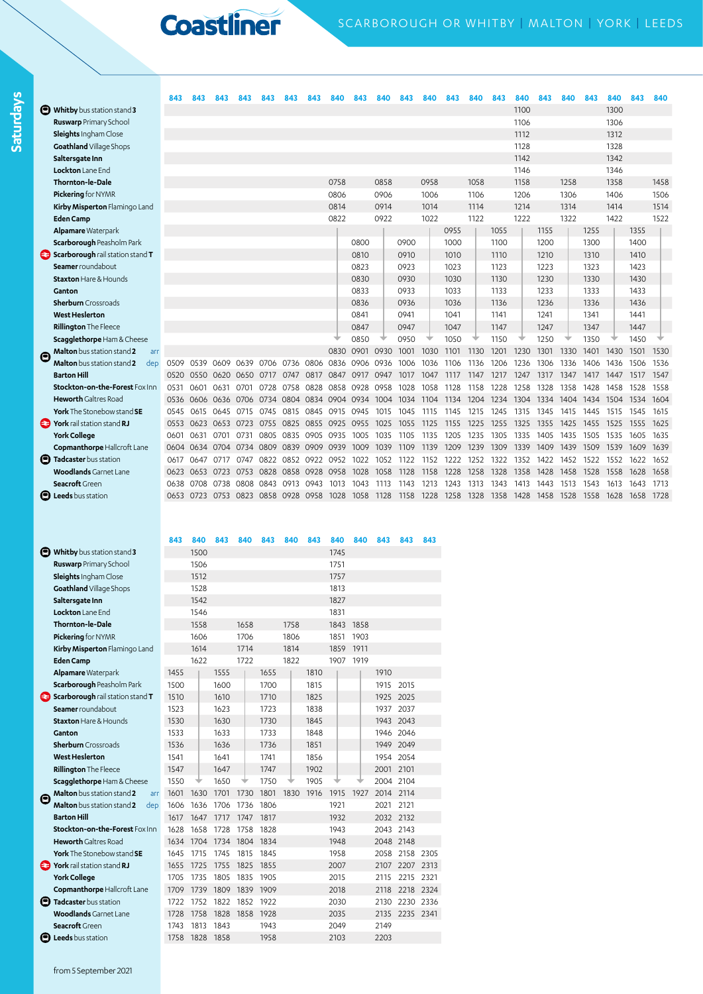**Saturdays**

|   |                                     | 843  |           |      | 843  |                     |      | 843  |      |      | 840  |      |      |      | 840  | 843  | 840  | 843  | 840  | 843  | 840  | 843  | 840  |
|---|-------------------------------------|------|-----------|------|------|---------------------|------|------|------|------|------|------|------|------|------|------|------|------|------|------|------|------|------|
|   | <b>D</b> Whitby bus station stand 3 |      |           |      |      |                     |      |      |      |      |      |      |      |      |      |      | 1100 |      |      |      | 1300 |      |      |
|   | <b>Ruswarp Primary School</b>       |      |           |      |      |                     |      |      |      |      |      |      |      |      |      |      | 1106 |      |      |      | 1306 |      |      |
|   | <b>Sleights</b> Ingham Close        |      |           |      |      |                     |      |      |      |      |      |      |      |      |      |      | 1112 |      |      |      | 1312 |      |      |
|   | Goathland Village Shops             |      |           |      |      |                     |      |      |      |      |      |      |      |      |      |      | 1128 |      |      |      | 1328 |      |      |
|   | Saltersgate Inn                     |      |           |      |      |                     |      |      |      |      |      |      |      |      |      |      | 1142 |      |      |      | 1342 |      |      |
|   | Lockton Lane End                    |      |           |      |      |                     |      |      |      |      |      |      |      |      |      |      | 1146 |      |      |      | 1346 |      |      |
|   | <b>Thornton-le-Dale</b>             |      |           |      |      |                     |      |      | 0758 |      | 0858 |      | 0958 |      | 1058 |      | 1158 |      | 1258 |      | 1358 |      | 1458 |
|   | Pickering for NYMR                  |      |           |      |      |                     |      |      | 0806 |      | 0906 |      | 1006 |      | 1106 |      | 1206 |      | 1306 |      | 1406 |      | 1506 |
|   | Kirby Misperton Flamingo Land       |      |           |      |      |                     |      |      | 0814 |      | 0914 |      | 1014 |      | 1114 |      | 1214 |      | 1314 |      | 1414 |      | 1514 |
|   | <b>Eden Camp</b>                    |      |           |      |      |                     |      |      | 0822 |      | 0922 |      | 1022 |      | 1122 |      | 1222 |      | 1322 |      | 1422 |      | 1522 |
|   | Alpamare Waterpark                  |      |           |      |      |                     |      |      |      |      |      |      |      | 0955 |      | 1055 |      | 1155 |      | 1255 |      | 1355 |      |
|   | <b>Scarborough Peasholm Park</b>    |      |           |      |      |                     |      |      |      | 0800 |      | 0900 |      | 1000 |      | 1100 |      | 1200 |      | 1300 |      | 1400 |      |
|   | Scarborough rail station stand T    |      |           |      |      |                     |      |      |      | 0810 |      | 0910 |      | 1010 |      | 1110 |      | 1210 |      | 1310 |      | 1410 |      |
|   | Seamer roundabout                   |      |           |      |      |                     |      |      |      | 0823 |      | 0923 |      | 1023 |      | 1123 |      | 1223 |      | 1323 |      | 1423 |      |
|   | <b>Staxton Hare &amp; Hounds</b>    |      |           |      |      |                     |      |      |      | 0830 |      | 0930 |      | 1030 |      | 1130 |      | 1230 |      | 1330 |      | 1430 |      |
|   | Ganton                              |      |           |      |      |                     |      |      |      | 0833 |      | 0933 |      | 1033 |      | 1133 |      | 1233 |      | 1333 |      | 1433 |      |
|   | <b>Sherburn</b> Crossroads          |      |           |      |      |                     |      |      |      | 0836 |      | 0936 |      | 1036 |      | 1136 |      | 1236 |      | 1336 |      | 1436 |      |
|   | <b>West Heslerton</b>               |      |           |      |      |                     |      |      |      | 0841 |      | 0941 |      | 1041 |      | 1141 |      | 1241 |      | 1341 |      | 1441 |      |
|   | <b>Rillington The Fleece</b>        |      |           |      |      |                     |      |      |      | 0847 |      | 0947 |      | 1047 |      | 1147 |      | 1247 |      | 1347 |      | 1447 |      |
|   | Scagglethorpe Ham & Cheese          |      |           |      |      |                     |      |      |      | 0850 |      | 0950 |      | 1050 |      | 1150 |      | 1250 |      | 1350 |      | 1450 |      |
| c | Malton bus station stand 2<br>arr   |      |           |      |      |                     |      |      | 0830 | 0901 | 0930 | 1001 | 1030 | 1101 | 1130 | 1201 | 1230 | 1301 | 1330 | 1401 | 1430 | 1501 | 1530 |
|   | Malton bus station stand 2<br>dep   | 0509 | 0539      | 0609 | 0639 | 0706                | 0736 | 0806 | 0836 | 0906 | 0936 | 1006 | 1036 | 1106 | 1136 | 1206 | 1236 | 1306 | 1336 | 1406 | 1436 | 1506 | 1536 |
|   | <b>Barton Hill</b>                  | 0520 | 0550      | 0620 | 0650 | 0717                | 0747 | 0817 | 0847 | 0917 | 0947 | 1017 | 1047 | 1117 | 1147 | 1217 | 1247 | 1317 | 1347 | 1417 | 1447 | 1517 | 1547 |
|   | Stockton-on-the-Forest Fox Inn      | 0531 | 0601      | 0631 | 0701 | 0728                | 0758 | 0828 | 0858 | 0928 | 0958 | 1028 | 1058 | 1128 | 1158 | 1228 | 1258 | 1328 | 1358 | 1428 | 1458 | 1528 | 1558 |
|   | <b>Heworth</b> Galtres Road         | 0536 | 0606      | 0636 | 0706 | 0734                | 0804 | 0834 | 0904 | 0934 | 1004 | 1034 | 1104 | 1134 | 1204 | 1234 | 1304 | 1334 | 1404 | 1434 | 1504 | 1534 | 1604 |
|   | York The Stonebow stand SE          | 0545 | 0615      | 0645 | 0715 | 0745                | 0815 | 0845 | 0915 | 0945 | 1015 | 1045 | 1115 | 1145 | 1215 | 1245 | 1315 | 1345 | 1415 | 1445 | 1515 | 1545 | 1615 |
|   | York rail station stand RJ          | 0553 | 0623      | 0653 | 0723 | 0755                | 0825 | 0855 | 0925 | 0955 | 1025 | 1055 | 1125 | 1155 | 1225 | 1255 | 1325 | 1355 | 1425 | 1455 | 1525 | 1555 | 1625 |
|   | <b>York College</b>                 | 0601 | 0631      | 0701 | 0731 | 0805                | 0835 | 0905 | 0935 | 1005 | 1035 | 1105 | 1135 | 1205 | 1235 | 1305 | 1335 | 1405 | 1435 | 1505 | 1535 | 1605 | 1635 |
|   | Copmanthorpe Hallcroft Lane         | 0604 | 0634      | 0704 | 0734 | 0809                | 0839 | 0909 | 0939 | 1009 | 1039 | 1109 | 1139 | 1209 | 1239 | 1309 | 1339 | 1409 | 1439 | 1509 | 1539 | 1609 | 1639 |
|   | <b>D</b> Tadcaster bus station      | 0617 | 0647      | 0717 | 0747 | 0822                | 0852 | 0922 | 0952 | 1022 | 1052 | 1122 | 1152 | 1222 | 1252 | 1322 | 1352 | 1422 | 1452 | 1522 | 1552 | 1622 | 1652 |
|   | <b>Woodlands</b> Garnet Lane        | 0623 | 0653      | 0723 | 0753 | 0828                | 0858 | 0928 | 0958 | 1028 | 1058 | 1128 | 1158 | 1228 | 1258 | 1328 | 1358 | 1428 | 1458 | 1528 | 1558 | 1628 | 1658 |
|   | Seacroft Green                      | 0638 | 0708      | 0738 | 0808 | 0843                | 0913 | 0943 | 1013 | 1043 | 1113 | 1143 | 1213 | 1243 | 1313 | 1343 | 1413 | 1443 | 1513 | 1543 | 1613 | 1643 | 1713 |
|   | <b>D</b> Leeds bus station          | 0653 | 0723 0753 |      |      | 0823 0858 0928 0958 |      |      | 1028 | 1058 | 1128 | 1158 | 1228 | 1258 | 1328 | 1358 | 1428 | 1458 | 1528 | 1558 | 1628 | 1658 | 1728 |
|   |                                     |      |           |      |      |                     |      |      |      |      |      |      |      |      |      |      |      |      |      |      |      |      |      |
|   |                                     |      |           |      |      |                     |      |      |      |      |      |      |      |      |      |      |      |      |      |      |      |      |      |
|   |                                     | 843  | 840       | 843  | 840  | 843                 | 840  | 843  | 840  | 840  | 843  | 843  | 843  |      |      |      |      |      |      |      |      |      |      |
|   | Whitby bus station stand 3          |      | 1500      |      |      |                     |      |      | 1745 |      |      |      |      |      |      |      |      |      |      |      |      |      |      |
|   | <b>Ruswarp</b> Primary School       |      | 1506      |      |      |                     |      |      | 1751 |      |      |      |      |      |      |      |      |      |      |      |      |      |      |
|   | Sleights Ingham Close               |      | 1512      |      |      |                     |      |      | 1757 |      |      |      |      |      |      |      |      |      |      |      |      |      |      |
|   | Goathland Village Shops             |      | 1528      |      |      |                     |      |      | 1813 |      |      |      |      |      |      |      |      |      |      |      |      |      |      |
|   | Saltersgate Inn                     |      | 1542      |      |      |                     |      |      | 1827 |      |      |      |      |      |      |      |      |      |      |      |      |      |      |
|   | Lockton Lane End                    |      | 1546      |      |      |                     |      |      | 1831 |      |      |      |      |      |      |      |      |      |      |      |      |      |      |
|   | Thornton-le-Dale                    |      | 1558      |      | 1658 |                     | 1758 |      | 1843 | 1858 |      |      |      |      |      |      |      |      |      |      |      |      |      |
|   | Pickering for NYMR                  |      | 1606      |      | 1706 |                     | 1806 |      | 1851 | 1903 |      |      |      |      |      |      |      |      |      |      |      |      |      |
|   | Kirby Misperton Flamingo Land       |      | 1614      |      | 1714 |                     | 1814 |      | 1859 | 1911 |      |      |      |      |      |      |      |      |      |      |      |      |      |
|   | <b>Eden Camp</b>                    |      | 1622      |      | 1722 |                     | 1822 |      | 1907 | 1919 |      |      |      |      |      |      |      |      |      |      |      |      |      |
|   | <b>Alpamare Waterpark</b>           | 1455 |           | 1555 |      | 1655                |      | 1810 |      |      | 1910 |      |      |      |      |      |      |      |      |      |      |      |      |
|   | Scarborough Peacholm Park           | 1500 |           | 1600 |      | 1700                |      | 1915 |      |      | 1015 | 2015 |      |      |      |      |      |      |      |      |      |      |      |

|   | שנות השוויה ביותר.                       |      | ט⊤יטו |      |      |      |      |      | ו טטו |      |           |           |      |
|---|------------------------------------------|------|-------|------|------|------|------|------|-------|------|-----------|-----------|------|
|   | Thornton-le-Dale                         |      | 1558  |      | 1658 |      | 1758 |      | 1843  | 1858 |           |           |      |
|   | Pickering for NYMR                       |      | 1606  |      | 1706 |      | 1806 |      | 1851  | 1903 |           |           |      |
|   | Kirby Misperton Flamingo Land            |      | 1614  |      | 1714 |      | 1814 |      | 1859  | 1911 |           |           |      |
|   | <b>Eden Camp</b>                         |      | 1622  |      | 1722 |      | 1822 |      | 1907  | 1919 |           |           |      |
|   | <b>Alpamare Waterpark</b>                | 1455 |       | 1555 |      | 1655 |      | 1810 |       |      | 1910      |           |      |
|   | <b>Scarborough Peasholm Park</b>         | 1500 |       | 1600 |      | 1700 |      | 1815 |       |      |           | 1915 2015 |      |
|   | Scarborough rail station stand T         | 1510 |       | 1610 |      | 1710 |      | 1825 |       |      | 1925      | 2025      |      |
|   | Seamer roundabout                        | 1523 |       | 1623 |      | 1723 |      | 1838 |       |      | 1937      | 2037      |      |
|   | <b>Staxton Hare &amp; Hounds</b>         | 1530 |       | 1630 |      | 1730 |      | 1845 |       |      |           | 1943 2043 |      |
|   | Ganton                                   | 1533 |       | 1633 |      | 1733 |      | 1848 |       |      |           | 1946 2046 |      |
|   | <b>Sherburn</b> Crossroads               | 1536 |       | 1636 |      | 1736 |      | 1851 |       |      |           | 1949 2049 |      |
|   | <b>West Heslerton</b>                    | 1541 |       | 1641 |      | 1741 |      | 1856 |       |      |           | 1954 2054 |      |
|   | <b>Rillington The Fleece</b>             | 1547 |       | 1647 |      | 1747 |      | 1902 |       |      | 2001 2101 |           |      |
|   | Scagglethorpe Ham & Cheese               | 1550 |       | 1650 |      | 1750 |      | 1905 |       |      |           | 2004 2104 |      |
| Θ | Malton bus station stand 2<br>arr        | 1601 | 1630  | 1701 | 1730 | 1801 | 1830 | 1916 | 1915  | 1927 | 2014 2114 |           |      |
|   | <b>Malton</b> bus station stand 2<br>dep | 1606 | 1636  | 1706 | 1736 | 1806 |      |      | 1921  |      | 2021      | 2121      |      |
|   | <b>Barton Hill</b>                       | 1617 | 1647  | 1717 | 1747 | 1817 |      |      | 1932  |      |           | 2032 2132 |      |
|   | Stockton-on-the-Forest Fox Inn           | 1628 | 1658  | 1728 | 1758 | 1828 |      |      | 1943  |      | 2043 2143 |           |      |
|   | <b>Heworth</b> Galtres Road              | 1634 | 1704  | 1734 | 1804 | 1834 |      |      | 1948  |      | 2048 2148 |           |      |
|   | <b>York</b> The Stonebow stand <b>SE</b> | 1645 | 1715  | 1745 | 1815 | 1845 |      |      | 1958  |      | 2058      | 2158      | 2305 |
|   | York rail station stand RJ               | 1655 | 1725  | 1755 | 1825 | 1855 |      |      | 2007  |      | 2107      | 2207      | 2313 |
|   | <b>York College</b>                      | 1705 | 1735  | 1805 | 1835 | 1905 |      |      | 2015  |      | 2115      | 2215      | 2321 |
|   | Copmanthorpe Hallcroft Lane              | 1709 | 1739  | 1809 | 1839 | 1909 |      |      | 2018  |      | 2118      | 2218      | 2324 |
| Θ | Tadcaster bus station                    | 1722 | 1752  | 1822 | 1852 | 1922 |      |      | 2030  |      | 2130      | 2230      | 2336 |
|   | <b>Woodlands</b> Garnet Lane             | 1728 | 1758  | 1828 | 1858 | 1928 |      |      | 2035  |      | 2135      | 2235 2341 |      |
|   | Seacroft Green                           | 1743 | 1813  | 1843 |      | 1943 |      |      | 2049  |      | 2149      |           |      |
|   | <b>B</b> Leeds bus station               | 1758 | 1828  | 1858 |      | 1958 |      |      | 2103  |      | 2203      |           |      |

from 5 September 2021